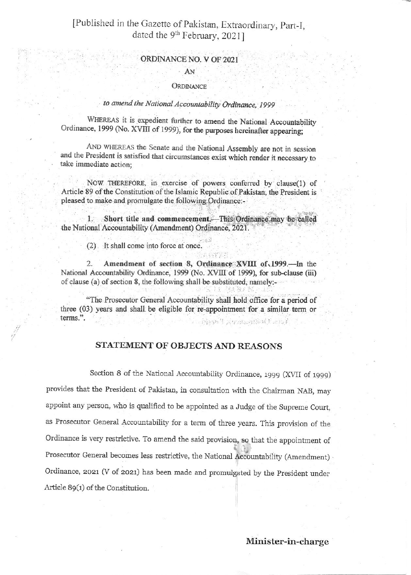# [Published in the Gazette of Pakistan, Extraordinary, Part-I, dated the 9<sup>th</sup> February, 2021]

#### ORDINANCE NO. V OF 2021

#### AN

#### ORDINANCE

## to amend the National Accountability Ordinance, 1999

WHEREAS it is expedient further to amend the National Accountability Ordinance, 1999 (No. XVIII of 1999), for the purposes hereinafter appearing;

AND WHEREAS the Senate and the National Assembly are not in session and the President is satisfied that circumstances exist which render it necessary to take immediate action:

NOW THEREFORE, in exercise of powers conferred by clause(1) of Article 89 of the Constitution of the Islamic Republic of Pakistan, the President is pleased to make and promulgate the following Ordinance:-

Short title and commencement. This Ordinance may be called 1. the National Accountability (Amendment) Ordinance, 2021.

(2) It shall come into force at once.

Amendment of section 8, Ordinance XVIII of 1999.-In the  $2.$ National Accountability Ordinance, 1999 (No. XVIII of 1999), for sub-clause (iii) of clause (a) of section 8, the following shall be substituted, namely:-

"The Prosecutor General Accountability shall hold office for a period of three (03) years and shall be eligible for re-appointment for a similar term or terms.". Nord Russalled Land

### STATEMENT OF OBJECTS AND REASONS

Section 8 of the National Accountability Ordinance, 1999 (XVII of 1999) provides that the President of Pakistan, in consultation with the Chairman NAB, may appoint any person, who is qualified to be appointed as a Judge of the Supreme Court, as Prosecutor General Accountability for a term of three years. This provision of the Ordinance is very restrictive. To amend the said provision, so that the appointment of Prosecutor General becomes less restrictive, the National Accountability (Amendment) Ordinance, 2021 (V of 2021) has been made and promulgated by the President under Article 89(1) of the Constitution.

Minister-in-charge